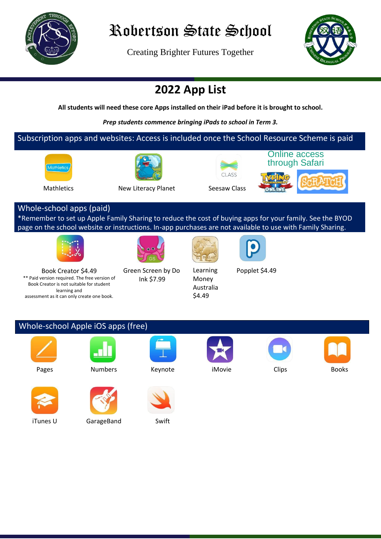

# Robertson State School

Creating Brighter Futures Together



### **2022 App List**

**All students will need these core Apps installed on their iPad before it is brought to school.**

*Prep students commence bringing iPads to school in Term 3.*

#### Subscription apps and websites: Access is included once the School Resource Scheme is paid









Mathletics New Literacy Planet Seesaw Class





#### Whole-school apps (paid)

\*Remember to set up Apple Family Sharing to reduce the cost of buying apps for your family. See the BYOD page on the school website or instructions. In-app purchases are not available to use with Family Sharing.









Book Creator \$4.49 \*\* Paid version required. The free version of Book Creator is not suitable for student learning and assessment as it can only create one book.

Green Screen by Do Ink \$7.99

Learning Money Australia \$4.49

Popplet \$4.49

Whole-school Apple iOS apps (free)













iTunes U GarageBand Swift



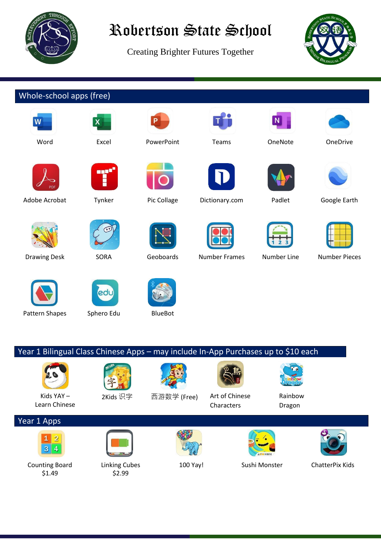

# Robertson State School

Creating Brighter Futures Together



### Whole-school apps (free)





Adobe Acrobat Tynker Pic Collage Dictionary.com Padlet Google Earth













Kids YAY – Learn Chinese

Counting Board \$1.49

 $3|4$ 

Year 1 Apps



Pattern Shapes Sphero Edu BlueBot

Linking Cubes \$2.99



















100 Yay! Sushi Monster ChatterPix Kids